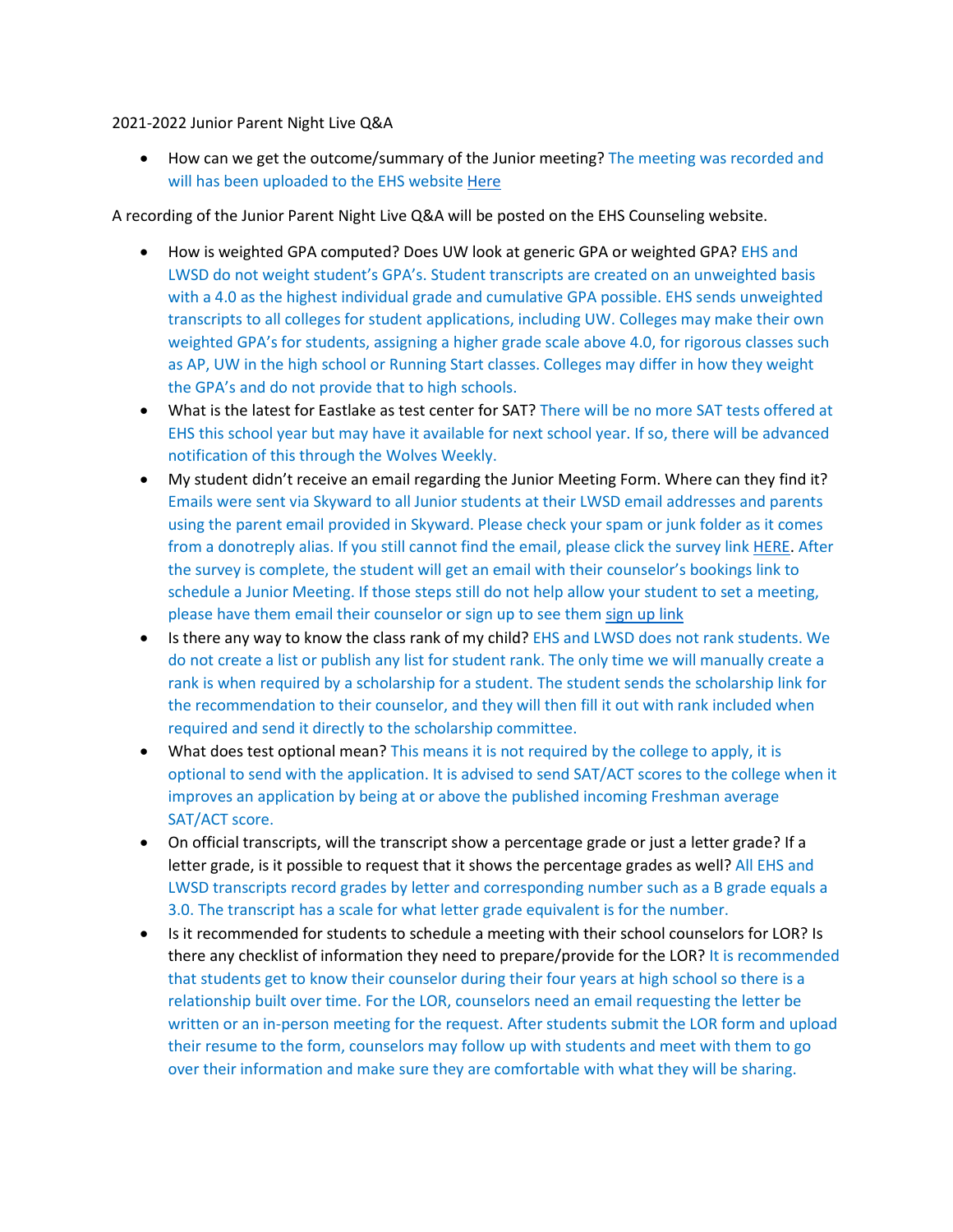## 2021-2022 Junior Parent Night Live Q&A

• How can we get the outcome/summary of the Junior meeting? The meeting was recorded and will has been uploaded to the EHS website [Here](https://ehs.lwsd.org/counseling/new-page)

A recording of the Junior Parent Night Live Q&A will be posted on the EHS Counseling website.

- How is weighted GPA computed? Does UW look at generic GPA or weighted GPA? EHS and LWSD do not weight student's GPA's. Student transcripts are created on an unweighted basis with a 4.0 as the highest individual grade and cumulative GPA possible. EHS sends unweighted transcripts to all colleges for student applications, including UW. Colleges may make their own weighted GPA's for students, assigning a higher grade scale above 4.0, for rigorous classes such as AP, UW in the high school or Running Start classes. Colleges may differ in how they weight the GPA's and do not provide that to high schools.
- What is the latest for Eastlake as test center for SAT? There will be no more SAT tests offered at EHS this school year but may have it available for next school year. If so, there will be advanced notification of this through the Wolves Weekly.
- My student didn't receive an email regarding the Junior Meeting Form. Where can they find it? Emails were sent via Skyward to all Junior students at their LWSD email addresses and parents using the parent email provided in Skyward. Please check your spam or junk folder as it comes from a donotreply alias. If you still cannot find the email, please click the survey link [HERE.](https://nam02.safelinks.protection.outlook.com/?url=https%3A%2F%2Fforms.office.com%2FPages%2FResponsePage.aspx%3Fid%3DP2fUH5bfIUaGOKHYjEyF1yqkDpcwXd9AjCj_lyhsZMBURU5LRFU4UTNaNktCSVBDMEtYUURCSzhCNi4u&data=04%7C01%7Cpolson%40lwsd.org%7C7b5913cd68d34483e3a208da00993574%7C1fd4673fdf9646218638a1d88c4c85d7%7C0%7C0%7C637822955297614904%7CUnknown%7CTWFpbGZsb3d8eyJWIjoiMC4wLjAwMDAiLCJQIjoiV2luMzIiLCJBTiI6Ik1haWwiLCJXVCI6Mn0%3D%7C3000&sdata=nK5%2B5u24%2BJJ4XqTh0Ta1dSUYe30e4DAkvZp0jdOXbdE%3D&reserved=0) After the survey is complete, the student will get an email with their counselor's bookings link to schedule a Junior Meeting. If those steps still do not help allow your student to set a meeting, please have them email their counselor or sign up to see them [sign up link](https://ehs.lwsd.org/counseling)
- Is there any way to know the class rank of my child? EHS and LWSD does not rank students. We do not create a list or publish any list for student rank. The only time we will manually create a rank is when required by a scholarship for a student. The student sends the scholarship link for the recommendation to their counselor, and they will then fill it out with rank included when required and send it directly to the scholarship committee.
- What does test optional mean? This means it is not required by the college to apply, it is optional to send with the application. It is advised to send SAT/ACT scores to the college when it improves an application by being at or above the published incoming Freshman average SAT/ACT score.
- On official transcripts, will the transcript show a percentage grade or just a letter grade? If a letter grade, is it possible to request that it shows the percentage grades as well? All EHS and LWSD transcripts record grades by letter and corresponding number such as a B grade equals a 3.0. The transcript has a scale for what letter grade equivalent is for the number.
- Is it recommended for students to schedule a meeting with their school counselors for LOR? Is there any checklist of information they need to prepare/provide for the LOR? It is recommended that students get to know their counselor during their four years at high school so there is a relationship built over time. For the LOR, counselors need an email requesting the letter be written or an in-person meeting for the request. After students submit the LOR form and upload their resume to the form, counselors may follow up with students and meet with them to go over their information and make sure they are comfortable with what they will be sharing.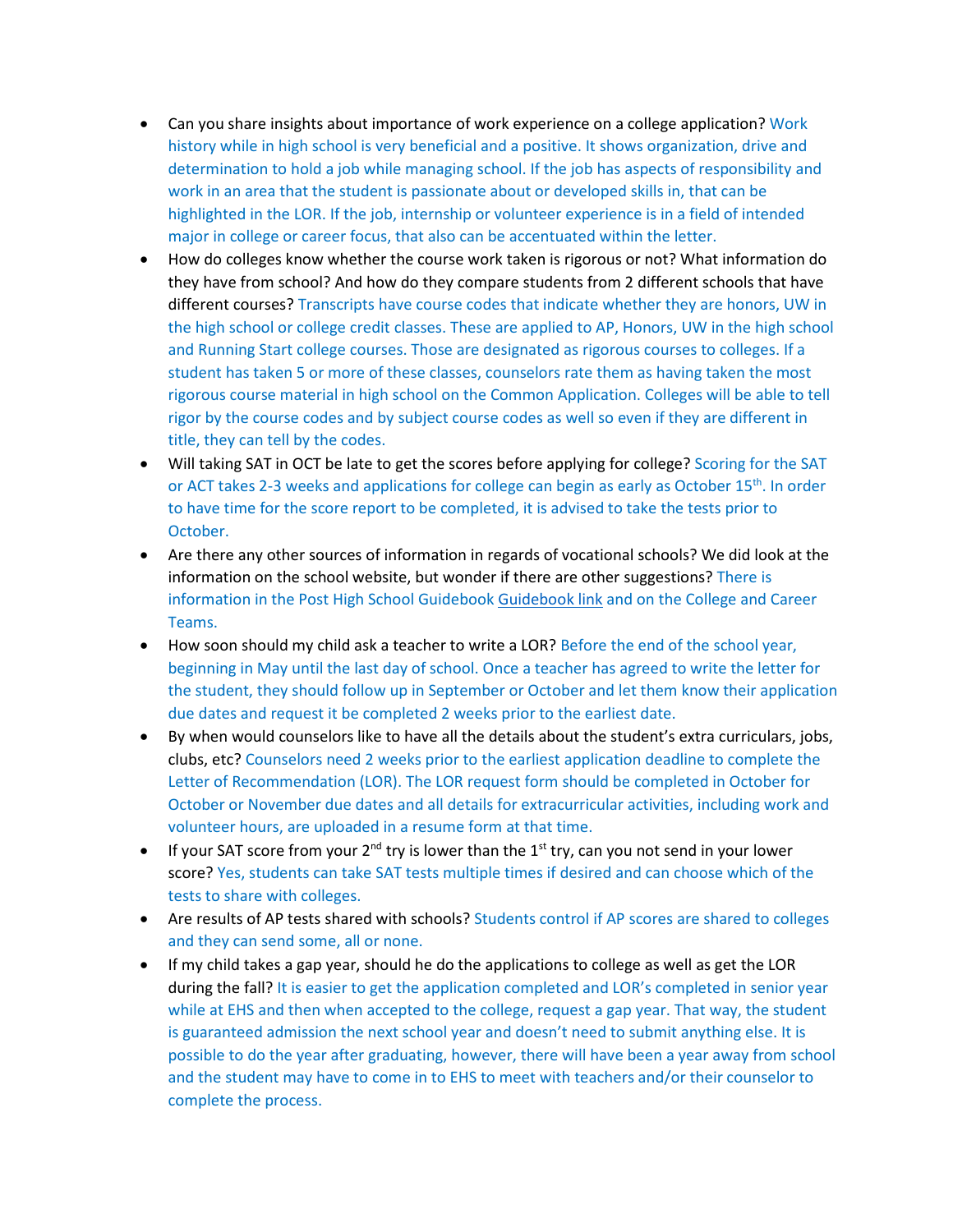- Can you share insights about importance of work experience on a college application? Work history while in high school is very beneficial and a positive. It shows organization, drive and determination to hold a job while managing school. If the job has aspects of responsibility and work in an area that the student is passionate about or developed skills in, that can be highlighted in the LOR. If the job, internship or volunteer experience is in a field of intended major in college or career focus, that also can be accentuated within the letter.
- How do colleges know whether the course work taken is rigorous or not? What information do they have from school? And how do they compare students from 2 different schools that have different courses? Transcripts have course codes that indicate whether they are honors, UW in the high school or college credit classes. These are applied to AP, Honors, UW in the high school and Running Start college courses. Those are designated as rigorous courses to colleges. If a student has taken 5 or more of these classes, counselors rate them as having taken the most rigorous course material in high school on the Common Application. Colleges will be able to tell rigor by the course codes and by subject course codes as well so even if they are different in title, they can tell by the codes.
- Will taking SAT in OCT be late to get the scores before applying for college? Scoring for the SAT or ACT takes 2-3 weeks and applications for college can begin as early as October 15<sup>th</sup>. In order to have time for the score report to be completed, it is advised to take the tests prior to October.
- Are there any other sources of information in regards of vocational schools? We did look at the information on the school website, but wonder if there are other suggestions? There is information in the Post High School Guidebook [Guidebook link](https://ehs.lwsd.org/counseling/new-page) and on the College and Career Teams.
- How soon should my child ask a teacher to write a LOR? Before the end of the school year, beginning in May until the last day of school. Once a teacher has agreed to write the letter for the student, they should follow up in September or October and let them know their application due dates and request it be completed 2 weeks prior to the earliest date.
- By when would counselors like to have all the details about the student's extra curriculars, jobs, clubs, etc? Counselors need 2 weeks prior to the earliest application deadline to complete the Letter of Recommendation (LOR). The LOR request form should be completed in October for October or November due dates and all details for extracurricular activities, including work and volunteer hours, are uploaded in a resume form at that time.
- If your SAT score from your  $2^{nd}$  try is lower than the  $1^{st}$  try, can you not send in your lower score? Yes, students can take SAT tests multiple times if desired and can choose which of the tests to share with colleges.
- Are results of AP tests shared with schools? Students control if AP scores are shared to colleges and they can send some, all or none.
- If my child takes a gap year, should he do the applications to college as well as get the LOR during the fall? It is easier to get the application completed and LOR's completed in senior year while at EHS and then when accepted to the college, request a gap year. That way, the student is guaranteed admission the next school year and doesn't need to submit anything else. It is possible to do the year after graduating, however, there will have been a year away from school and the student may have to come in to EHS to meet with teachers and/or their counselor to complete the process.